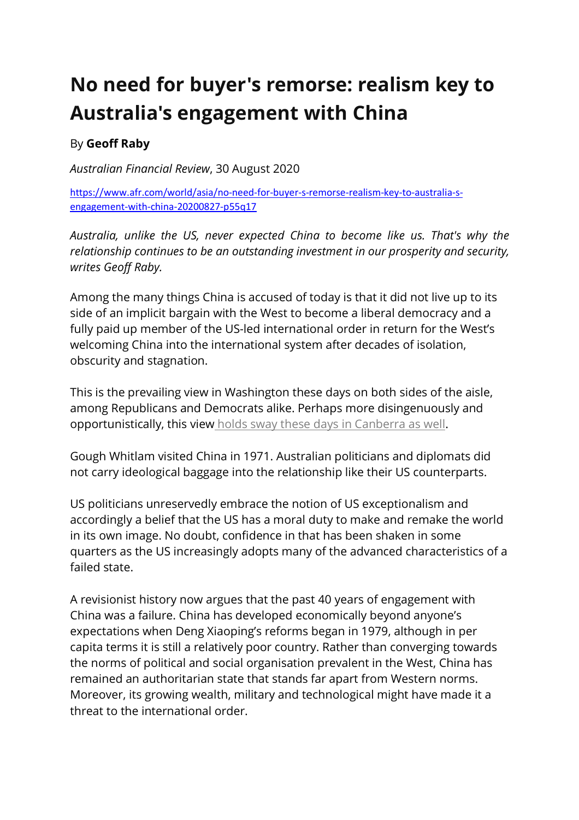## **No need for buyer's remorse: realism key to Australia's engagement with China**

## By **Geoff Raby**

*Australian Financial Review*, 30 August 2020

https://www.afr.com/world/asia/no-need-for-buyer-s-remorse-realism-key-to-australia-sengagement-with-china-20200827-p55q17

*Australia, unlike the US, never expected China to become like us. That's why the relationship continues to be an outstanding investment in our prosperity and security, writes Geoff Raby.*

Among the many things China is accused of today is that it did not live up to its side of an implicit bargain with the West to become a liberal democracy and a fully paid up member of the US-led international order in return for the West's welcoming China into the international system after decades of isolation, obscurity and stagnation.

This is the prevailing view in Washington these days on both sides of the aisle, among Republicans and Democrats alike. Perhaps more disingenuously and opportunistically, this view holds sway these days in Canberra as well.

Gough Whitlam visited China in 1971. Australian politicians and diplomats did not carry ideological baggage into the relationship like their US counterparts.

US politicians unreservedly embrace the notion of US exceptionalism and accordingly a belief that the US has a moral duty to make and remake the world in its own image. No doubt, confidence in that has been shaken in some quarters as the US increasingly adopts many of the advanced characteristics of a failed state.

A revisionist history now argues that the past 40 years of engagement with China was a failure. China has developed economically beyond anyone's expectations when Deng Xiaoping's reforms began in 1979, although in per capita terms it is still a relatively poor country. Rather than converging towards the norms of political and social organisation prevalent in the West, China has remained an authoritarian state that stands far apart from Western norms. Moreover, its growing wealth, military and technological might have made it a threat to the international order.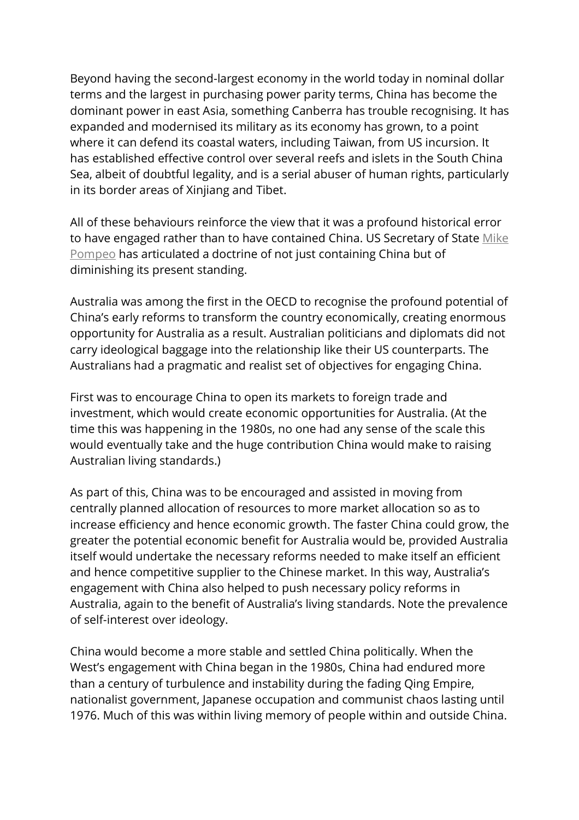Beyond having the second-largest economy in the world today in nominal dollar terms and the largest in purchasing power parity terms, China has become the dominant power in east Asia, something Canberra has trouble recognising. It has expanded and modernised its military as its economy has grown, to a point where it can defend its coastal waters, including Taiwan, from US incursion. It has established effective control over several reefs and islets in the South China Sea, albeit of doubtful legality, and is a serial abuser of human rights, particularly in its border areas of Xinjiang and Tibet.

All of these behaviours reinforce the view that it was a profound historical error to have engaged rather than to have contained China. US Secretary of State Mike Pompeo has articulated a doctrine of not just containing China but of diminishing its present standing.

Australia was among the first in the OECD to recognise the profound potential of China's early reforms to transform the country economically, creating enormous opportunity for Australia as a result. Australian politicians and diplomats did not carry ideological baggage into the relationship like their US counterparts. The Australians had a pragmatic and realist set of objectives for engaging China.

First was to encourage China to open its markets to foreign trade and investment, which would create economic opportunities for Australia. (At the time this was happening in the 1980s, no one had any sense of the scale this would eventually take and the huge contribution China would make to raising Australian living standards.)

As part of this, China was to be encouraged and assisted in moving from centrally planned allocation of resources to more market allocation so as to increase efficiency and hence economic growth. The faster China could grow, the greater the potential economic benefit for Australia would be, provided Australia itself would undertake the necessary reforms needed to make itself an efficient and hence competitive supplier to the Chinese market. In this way, Australia's engagement with China also helped to push necessary policy reforms in Australia, again to the benefit of Australia's living standards. Note the prevalence of self-interest over ideology.

China would become a more stable and settled China politically. When the West's engagement with China began in the 1980s, China had endured more than a century of turbulence and instability during the fading Qing Empire, nationalist government, Japanese occupation and communist chaos lasting until 1976. Much of this was within living memory of people within and outside China.